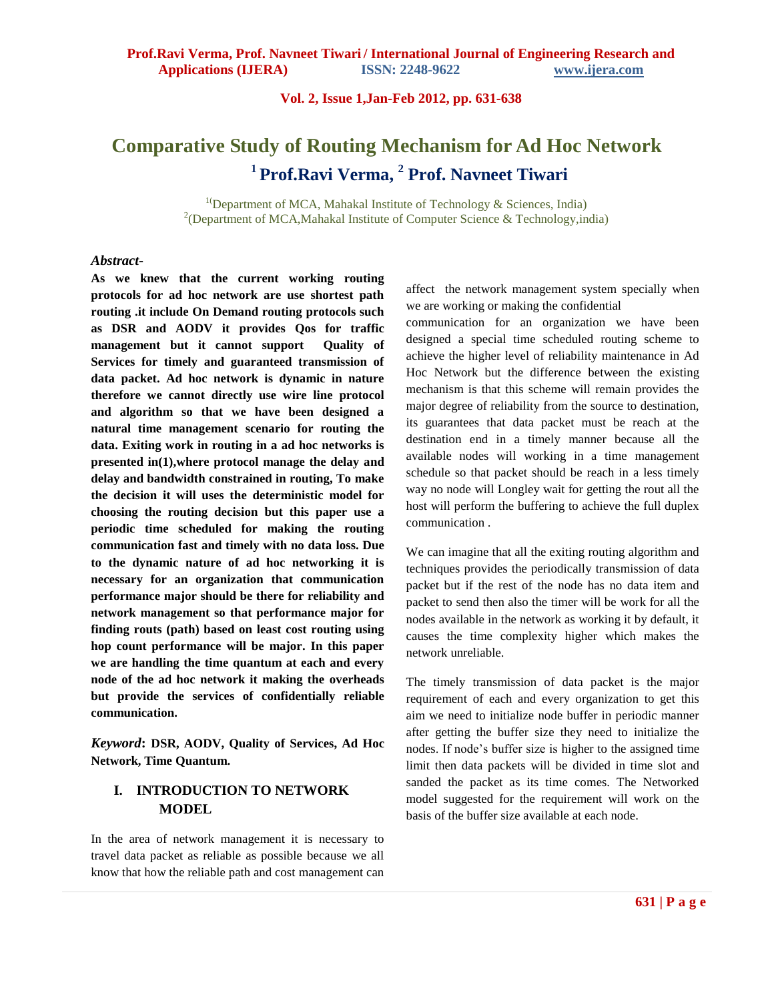# **Comparative Study of Routing Mechanism for Ad Hoc Network 1 Prof.Ravi Verma, 2 Prof. Navneet Tiwari**

<sup>1(</sup>Department of MCA, Mahakal Institute of Technology & Sciences, India) <sup>2</sup>(Department of MCA, Mahakal Institute of Computer Science & Technology, india)

### *Abstract***-**

**As we knew that the current working routing protocols for ad hoc network are use shortest path routing .it include On Demand routing protocols such as DSR and AODV it provides Qos for traffic management but it cannot support Quality of Services for timely and guaranteed transmission of data packet. Ad hoc network is dynamic in nature therefore we cannot directly use wire line protocol and algorithm so that we have been designed a natural time management scenario for routing the data. Exiting work in routing in a ad hoc networks is presented in(1),where protocol manage the delay and delay and bandwidth constrained in routing, To make the decision it will uses the deterministic model for choosing the routing decision but this paper use a periodic time scheduled for making the routing communication fast and timely with no data loss. Due to the dynamic nature of ad hoc networking it is necessary for an organization that communication performance major should be there for reliability and network management so that performance major for finding routs (path) based on least cost routing using hop count performance will be major. In this paper we are handling the time quantum at each and every node of the ad hoc network it making the overheads but provide the services of confidentially reliable communication.**

*Keyword***: DSR, AODV, Quality of Services, Ad Hoc Network, Time Quantum.**

## **I. INTRODUCTION TO NETWORK MODEL**

In the area of network management it is necessary to travel data packet as reliable as possible because we all know that how the reliable path and cost management can

affect the network management system specially when we are working or making the confidential

communication for an organization we have been designed a special time scheduled routing scheme to achieve the higher level of reliability maintenance in Ad Hoc Network but the difference between the existing mechanism is that this scheme will remain provides the major degree of reliability from the source to destination, its guarantees that data packet must be reach at the destination end in a timely manner because all the available nodes will working in a time management schedule so that packet should be reach in a less timely way no node will Longley wait for getting the rout all the host will perform the buffering to achieve the full duplex communication .

We can imagine that all the exiting routing algorithm and techniques provides the periodically transmission of data packet but if the rest of the node has no data item and packet to send then also the timer will be work for all the nodes available in the network as working it by default, it causes the time complexity higher which makes the network unreliable.

The timely transmission of data packet is the major requirement of each and every organization to get this aim we need to initialize node buffer in periodic manner after getting the buffer size they need to initialize the nodes. If node's buffer size is higher to the assigned time limit then data packets will be divided in time slot and sanded the packet as its time comes. The Networked model suggested for the requirement will work on the basis of the buffer size available at each node.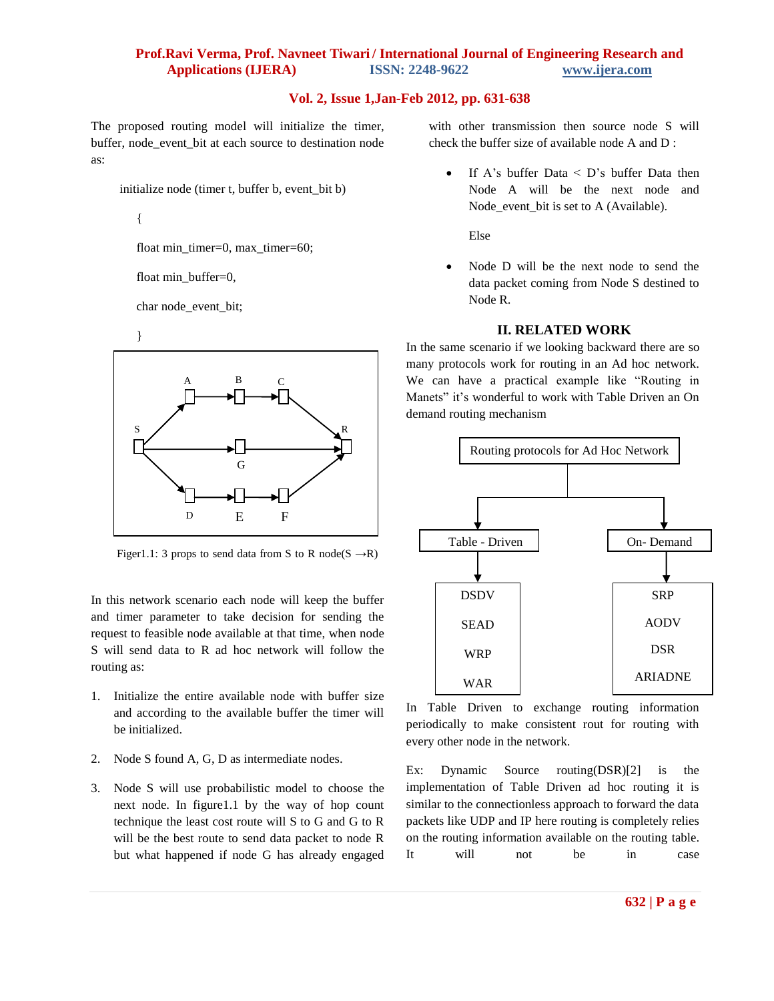The proposed routing model will initialize the timer, buffer, node event bit at each source to destination node as:

initialize node (timer t, buffer b, event\_bit b)

{

float min\_timer=0, max\_timer=60;

float min\_buffer=0,

char node\_event\_bit;





Figer1.1: 3 props to send data from S to R node( $S \rightarrow R$ )

In this network scenario each node will keep the buffer and timer parameter to take decision for sending the request to feasible node available at that time, when node S will send data to R ad hoc network will follow the routing as:

- 1. Initialize the entire available node with buffer size and according to the available buffer the timer will be initialized.
- 2. Node S found A, G, D as intermediate nodes.
- 3. Node S will use probabilistic model to choose the next node. In figure1.1 by the way of hop count technique the least cost route will S to G and G to R will be the best route to send data packet to node R but what happened if node G has already engaged

with other transmission then source node S will check the buffer size of available node A and D :

 $\bullet$  If A's buffer Data  $\leq$  D's buffer Data then Node A will be the next node and Node event bit is set to A (Available).

Else

• Node D will be the next node to send the data packet coming from Node S destined to Node R.

#### **II. RELATED WORK**

In the same scenario if we looking backward there are so many protocols work for routing in an Ad hoc network. We can have a practical example like "Routing in Manets" it's wonderful to work with Table Driven an On demand routing mechanism



In Table Driven to exchange routing information periodically to make consistent rout for routing with every other node in the network.

Ex: Dynamic Source routing(DSR)[2] is the implementation of Table Driven ad hoc routing it is similar to the connectionless approach to forward the data packets like UDP and IP here routing is completely relies on the routing information available on the routing table. It will not be in case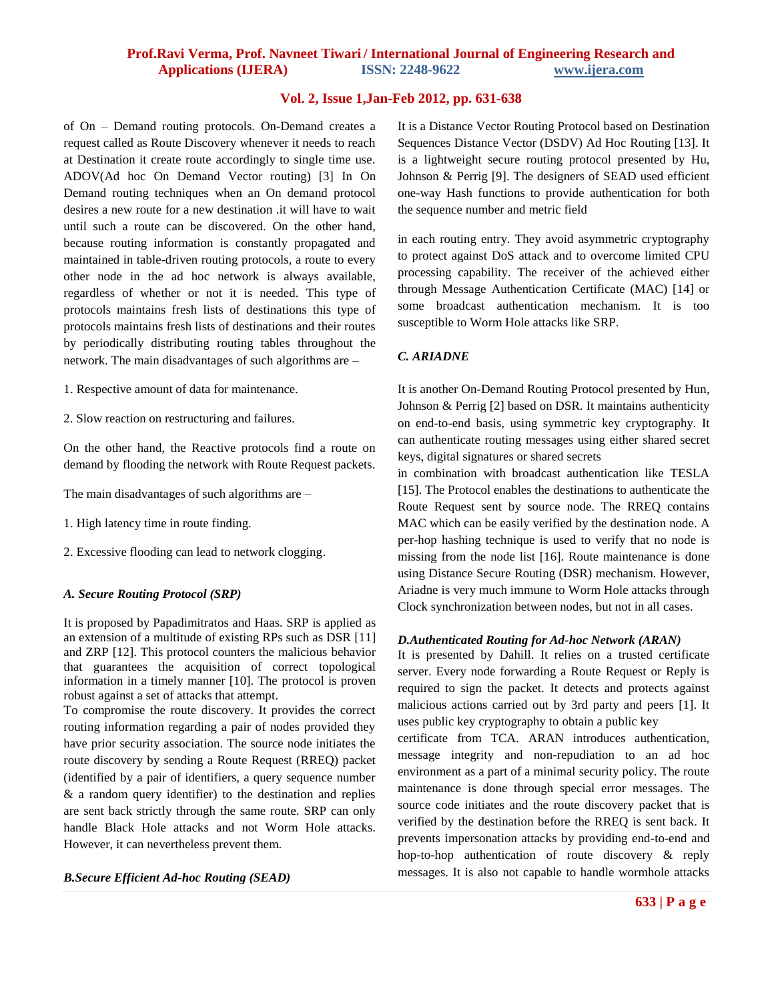of On – Demand routing protocols. On-Demand creates a request called as Route Discovery whenever it needs to reach at Destination it create route accordingly to single time use. ADOV(Ad hoc On Demand Vector routing) [3] In On Demand routing techniques when an On demand protocol desires a new route for a new destination .it will have to wait until such a route can be discovered. On the other hand, because routing information is constantly propagated and maintained in table-driven routing protocols, a route to every other node in the ad hoc network is always available, regardless of whether or not it is needed. This type of protocols maintains fresh lists of destinations this type of protocols maintains fresh lists of destinations and their routes by periodically distributing routing tables throughout the network. The main disadvantages of such algorithms are –

- 1. Respective amount of data for maintenance.
- 2. Slow reaction on restructuring and failures.

On the other hand, the Reactive protocols find a route on demand by flooding the network with Route Request packets.

The main disadvantages of such algorithms are –

- 1. High latency time in route finding.
- 2. Excessive flooding can lead to network clogging.

#### *A. Secure Routing Protocol (SRP)*

It is proposed by Papadimitratos and Haas. SRP is applied as an extension of a multitude of existing RPs such as DSR [11] and ZRP [12]. This protocol counters the malicious behavior that guarantees the acquisition of correct topological information in a timely manner [10]. The protocol is proven robust against a set of attacks that attempt.

To compromise the route discovery. It provides the correct routing information regarding a pair of nodes provided they have prior security association. The source node initiates the route discovery by sending a Route Request (RREQ) packet (identified by a pair of identifiers, a query sequence number & a random query identifier) to the destination and replies are sent back strictly through the same route. SRP can only handle Black Hole attacks and not Worm Hole attacks. However, it can nevertheless prevent them.

*B.Secure Efficient Ad-hoc Routing (SEAD)* 

It is a Distance Vector Routing Protocol based on Destination Sequences Distance Vector (DSDV) Ad Hoc Routing [13]. It is a lightweight secure routing protocol presented by Hu, Johnson & Perrig [9]. The designers of SEAD used efficient one-way Hash functions to provide authentication for both the sequence number and metric field

in each routing entry. They avoid asymmetric cryptography to protect against DoS attack and to overcome limited CPU processing capability. The receiver of the achieved either through Message Authentication Certificate (MAC) [14] or some broadcast authentication mechanism. It is too susceptible to Worm Hole attacks like SRP.

#### *C. ARIADNE*

It is another On-Demand Routing Protocol presented by Hun, Johnson & Perrig [2] based on DSR. It maintains authenticity on end-to-end basis, using symmetric key cryptography. It can authenticate routing messages using either shared secret keys, digital signatures or shared secrets

in combination with broadcast authentication like TESLA [15]. The Protocol enables the destinations to authenticate the Route Request sent by source node. The RREQ contains MAC which can be easily verified by the destination node. A per-hop hashing technique is used to verify that no node is missing from the node list [16]. Route maintenance is done using Distance Secure Routing (DSR) mechanism. However, Ariadne is very much immune to Worm Hole attacks through Clock synchronization between nodes, but not in all cases.

#### *D.Authenticated Routing for Ad-hoc Network (ARAN)*

It is presented by Dahill. It relies on a trusted certificate server. Every node forwarding a Route Request or Reply is required to sign the packet. It detects and protects against malicious actions carried out by 3rd party and peers [1]. It uses public key cryptography to obtain a public key

certificate from TCA. ARAN introduces authentication, message integrity and non-repudiation to an ad hoc environment as a part of a minimal security policy. The route maintenance is done through special error messages. The source code initiates and the route discovery packet that is verified by the destination before the RREQ is sent back. It prevents impersonation attacks by providing end-to-end and hop-to-hop authentication of route discovery & reply messages. It is also not capable to handle wormhole attacks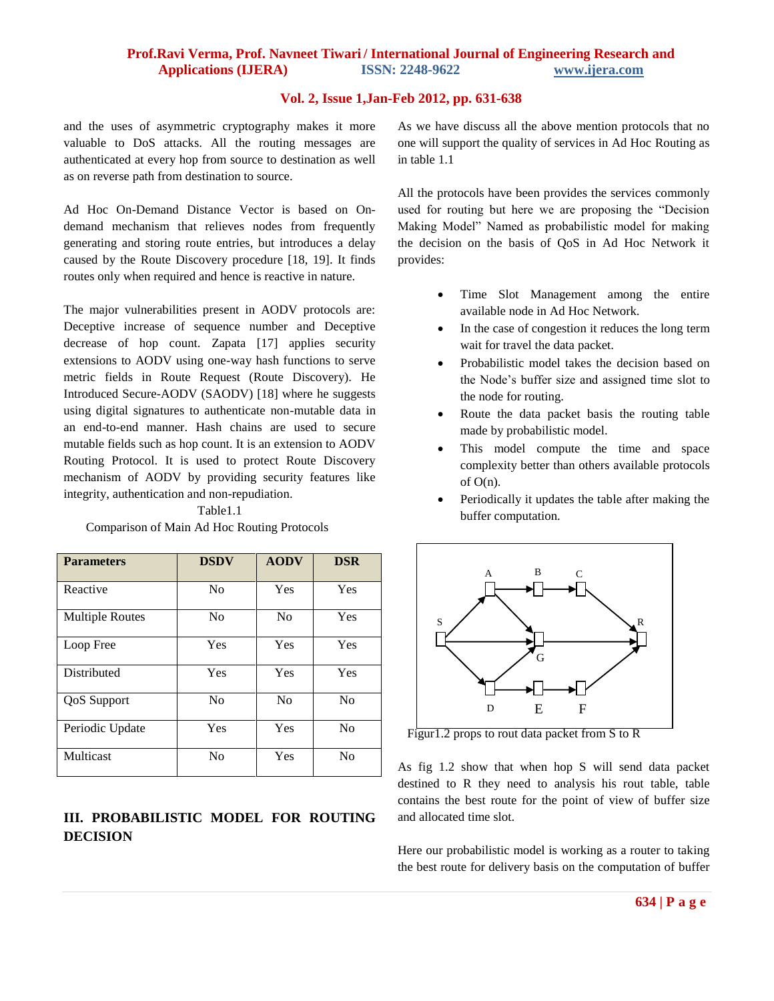# **Prof.Ravi Verma, Prof. Navneet Tiwari / International Journal of Engineering Research and Applications (IJERA) ISSN: 2248-9622 www.ijera.com**

### **Vol. 2, Issue 1,Jan-Feb 2012, pp. 631-638**

and the uses of asymmetric cryptography makes it more valuable to DoS attacks. All the routing messages are authenticated at every hop from source to destination as well as on reverse path from destination to source.

Ad Hoc On-Demand Distance Vector is based on Ondemand mechanism that relieves nodes from frequently generating and storing route entries, but introduces a delay caused by the Route Discovery procedure [18, 19]. It finds routes only when required and hence is reactive in nature.

The major vulnerabilities present in AODV protocols are: Deceptive increase of sequence number and Deceptive decrease of hop count. Zapata [17] applies security extensions to AODV using one-way hash functions to serve metric fields in Route Request (Route Discovery). He Introduced Secure-AODV (SAODV) [18] where he suggests using digital signatures to authenticate non-mutable data in an end-to-end manner. Hash chains are used to secure mutable fields such as hop count. It is an extension to AODV Routing Protocol. It is used to protect Route Discovery mechanism of AODV by providing security features like integrity, authentication and non-repudiation.

Table1.1

| Comparison of Main Ad Hoc Routing Protocols |  |  |
|---------------------------------------------|--|--|
|                                             |  |  |

| <b>Parameters</b>      | <b>DSDV</b>    | <b>AODV</b>    | <b>DSR</b>     |
|------------------------|----------------|----------------|----------------|
| Reactive               | N <sub>0</sub> | Yes            | Yes            |
| <b>Multiple Routes</b> | N <sub>0</sub> | N <sub>0</sub> | Yes            |
| Loop Free              | Yes            | Yes            | Yes            |
| Distributed            | Yes            | Yes            | Yes            |
| <b>QoS</b> Support     | N <sub>0</sub> | N <sub>0</sub> | No             |
| Periodic Update        | Yes            | Yes            | No             |
| Multicast              | N <sub>o</sub> | Yes            | N <sub>0</sub> |

# **III. PROBABILISTIC MODEL FOR ROUTING DECISION**

As we have discuss all the above mention protocols that no one will support the quality of services in Ad Hoc Routing as in table 1.1

All the protocols have been provides the services commonly used for routing but here we are proposing the "Decision Making Model" Named as probabilistic model for making the decision on the basis of QoS in Ad Hoc Network it provides:

- Time Slot Management among the entire available node in Ad Hoc Network.
- In the case of congestion it reduces the long term wait for travel the data packet.
- Probabilistic model takes the decision based on the Node's buffer size and assigned time slot to the node for routing.
- Route the data packet basis the routing table made by probabilistic model.
- This model compute the time and space complexity better than others available protocols of  $O(n)$ .
- Periodically it updates the table after making the buffer computation.



Figur1.2 props to rout data packet from S to R

As fig 1.2 show that when hop S will send data packet destined to R they need to analysis his rout table, table contains the best route for the point of view of buffer size and allocated time slot.

Here our probabilistic model is working as a router to taking the best route for delivery basis on the computation of buffer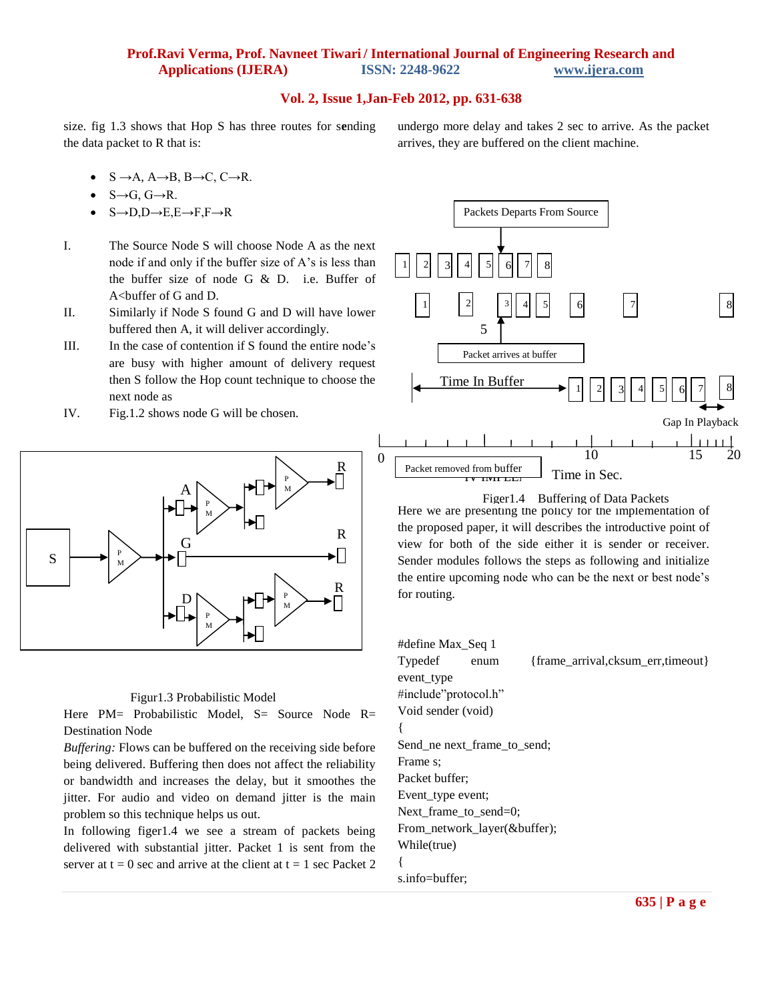# **Prof.Ravi Verma, Prof. Navneet Tiwari / International Journal of Engineering Research and Applications (IJERA) ISSN: 2248-9622 www.ijera.com**

#### **Vol. 2, Issue 1,Jan-Feb 2012, pp. 631-638**

size. fig 1.3 shows that Hop S has three routes for s**e**nding the data packet to R that is:

- $S \rightarrow A$ ,  $A \rightarrow B$ ,  $B \rightarrow C$ ,  $C \rightarrow R$ .
- $\bullet$  S $\rightarrow$ G, G $\rightarrow$ R.
- $S\rightarrow D,D\rightarrow E,E\rightarrow F,F\rightarrow R$
- I. The Source Node S will choose Node A as the next node if and only if the buffer size of A's is less than the buffer size of node G & D. i.e. Buffer of A<buffer of G and D.
- II. Similarly if Node S found G and D will have lower buffered then A, it will deliver accordingly.
- III. In the case of contention if S found the entire node's are busy with higher amount of delivery request then S follow the Hop count technique to choose the next node as
- IV. Fig.1.2 shows node G will be chosen.



#### Figur1.3 Probabilistic Model

Here PM= Probabilistic Model, S= Source Node R= Destination Node

*Buffering:* Flows can be buffered on the receiving side before being delivered. Buffering then does not affect the reliability or bandwidth and increases the delay, but it smoothes the jitter. For audio and video on demand jitter is the main problem so this technique helps us out.

In following figer1.4 we see a stream of packets being delivered with substantial jitter. Packet 1 is sent from the server at  $t = 0$  sec and arrive at the client at  $t = 1$  sec Packet 2 undergo more delay and takes 2 sec to arrive. As the packet arrives, they are buffered on the client machine.



Figer1.4Buffering of Data Packets

Here we are presenting the policy for the implementation of the proposed paper, it will describes the introductive point of view for both of the side either it is sender or receiver. Sender modules follows the steps as following and initialize the entire upcoming node who can be the next or best node's for routing.

#define Max\_Seq 1 Typedef enum {frame\_arrival,cksum\_err,timeout} event\_type #include"protocol.h" Void sender (void) { Send\_ne next\_frame\_to\_send; Frame s; Packet buffer; Event\_type event; Next\_frame\_to\_send=0; From\_network\_layer(&buffer); While(true) { s.info=buffer;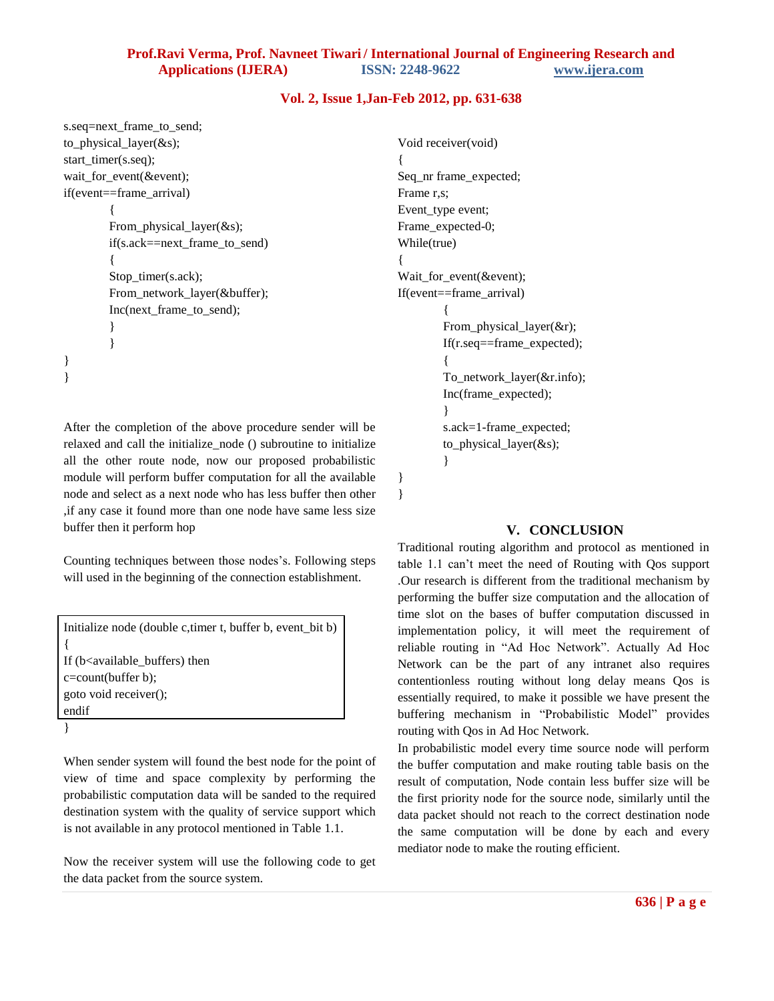}

```
s.seq=next_frame_to_send;
to_physical_layer(&s);
start_timer(s.seq);
wait_for_event(&event);
if(event==frame_arrival)
         {
        From physical layer(&s);
        if(s.ack==next_frame_to_send)
         {
        Stop_timer(s.ack);
        From_network_layer(&buffer);
        Inc(next_frame_to_send);
        }
        }
}
}
```
After the completion of the above procedure sender will be relaxed and call the initialize\_node () subroutine to initialize all the other route node, now our proposed probabilistic module will perform buffer computation for all the available node and select as a next node who has less buffer then other ,if any case it found more than one node have same less size buffer then it perform hop

Counting techniques between those nodes's. Following steps will used in the beginning of the connection establishment.

Initialize node (double c,timer t, buffer b, event\_bit b) { If (b<available\_buffers) then c=count(buffer b); goto void receiver(); endif }

When sender system will found the best node for the point of view of time and space complexity by performing the probabilistic computation data will be sanded to the required destination system with the quality of service support which is not available in any protocol mentioned in Table 1.1.

Now the receiver system will use the following code to get the data packet from the source system.

```
Void receiver(void)
{
Seq_nr frame_expected;
Frame r,s;
Event_type event;
Frame_expected-0;
While(true)
{
Wait_for_event(&event);
If(event==frame_arrival)
        {
        From_physical_layer(&r);
        If(r.seq==frame_expected);
        {
        To_network_layer(&r.info);
        Inc(frame_expected);
        }
        s.ack=1-frame_expected;
        to_physical_layer(&s);
        }
}
```
## **V. CONCLUSION**

Traditional routing algorithm and protocol as mentioned in table 1.1 can't meet the need of Routing with Qos support .Our research is different from the traditional mechanism by performing the buffer size computation and the allocation of time slot on the bases of buffer computation discussed in implementation policy, it will meet the requirement of reliable routing in "Ad Hoc Network". Actually Ad Hoc Network can be the part of any intranet also requires contentionless routing without long delay means Qos is essentially required, to make it possible we have present the buffering mechanism in "Probabilistic Model" provides routing with Qos in Ad Hoc Network.

In probabilistic model every time source node will perform the buffer computation and make routing table basis on the result of computation, Node contain less buffer size will be the first priority node for the source node, similarly until the data packet should not reach to the correct destination node the same computation will be done by each and every mediator node to make the routing efficient.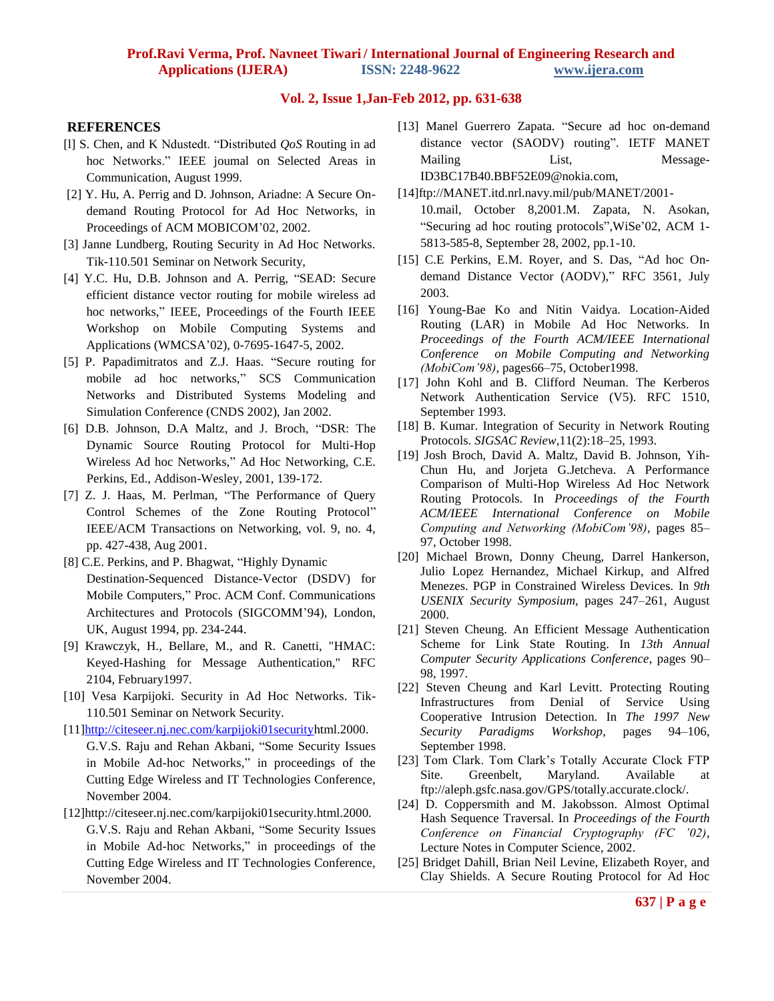## **REFERENCES**

- [l] S. Chen, and K Ndustedt. "Distributed *QoS* Routing in ad hoc Networks." IEEE joumal on Selected Areas in Communication, August 1999.
- [2] Y. Hu, A. Perrig and D. Johnson, Ariadne: A Secure Ondemand Routing Protocol for Ad Hoc Networks, in Proceedings of ACM MOBICOM'02, 2002.
- [3] Janne Lundberg, Routing Security in Ad Hoc Networks. Tik-110.501 Seminar on Network Security,
- [4] Y.C. Hu, D.B. Johnson and A. Perrig, "SEAD: Secure efficient distance vector routing for mobile wireless ad hoc networks," IEEE, Proceedings of the Fourth IEEE Workshop on Mobile Computing Systems and Applications (WMCSA'02), 0-7695-1647-5, 2002.
- [5] P. Papadimitratos and Z.J. Haas. "Secure routing for mobile ad hoc networks," SCS Communication Networks and Distributed Systems Modeling and Simulation Conference (CNDS 2002), Jan 2002.
- [6] D.B. Johnson, D.A Maltz, and J. Broch, "DSR: The Dynamic Source Routing Protocol for Multi-Hop Wireless Ad hoc Networks," Ad Hoc Networking, C.E. Perkins, Ed., Addison-Wesley, 2001, 139-172.
- [7] Z. J. Haas, M. Perlman, "The Performance of Query Control Schemes of the Zone Routing Protocol" IEEE/ACM Transactions on Networking, vol. 9, no. 4, pp. 427-438, Aug 2001.
- [8] C.E. Perkins, and P. Bhagwat, "Highly Dynamic Destination-Sequenced Distance-Vector (DSDV) for Mobile Computers," Proc. ACM Conf. Communications Architectures and Protocols (SIGCOMM'94), London, UK, August 1994, pp. 234-244.
- [9] Krawczyk, H., Bellare, M., and R. Canetti, "HMAC: Keyed-Hashing for Message Authentication," RFC 2104, February1997.
- [10] Vesa Karpijoki. Security in Ad Hoc Networks. Tik-110.501 Seminar on Network Security.
- [11[\]http://citeseer.nj.nec.com/karpijoki01securityh](http://citeseer.nj.nec.com/karpijoki01security)tml.2000.
- G.V.S. Raju and Rehan Akbani, "Some Security Issues in Mobile Ad-hoc Networks," in proceedings of the Cutting Edge Wireless and IT Technologies Conference, November 2004.
- [12]http://citeseer.nj.nec.com/karpijoki01security.html.2000. G.V.S. Raju and Rehan Akbani, "Some Security Issues in Mobile Ad-hoc Networks," in proceedings of the Cutting Edge Wireless and IT Technologies Conference, November 2004.
- [13] Manel Guerrero Zapata. "Secure ad hoc on-demand distance vector (SAODV) routing". IETF MANET Mailing List, Message-ID3BC17B40.BBF52E09@nokia.com,
- [14]ftp://MANET.itd.nrl.navy.mil/pub/MANET/2001- 10.mail, October 8,2001.M. Zapata, N. Asokan, "Securing ad hoc routing protocols",WiSe'02, ACM 1- 5813-585-8, September 28, 2002, pp.1-10.
- [15] C.E Perkins, E.M. Royer, and S. Das, "Ad hoc Ondemand Distance Vector (AODV)," RFC 3561, July 2003.
- [16] Young-Bae Ko and Nitin Vaidya. Location-Aided Routing (LAR) in Mobile Ad Hoc Networks. In *Proceedings of the Fourth ACM/IEEE International Conference on Mobile Computing and Networking (MobiCom'98)*, pages66–75, October1998.
- [17] John Kohl and B. Clifford Neuman. The Kerberos Network Authentication Service (V5). RFC 1510, September 1993.
- [18] B. Kumar. Integration of Security in Network Routing Protocols. *SIGSAC Review*,11(2):18–25, 1993.
- [19] Josh Broch, David A. Maltz, David B. Johnson, Yih-Chun Hu, and Jorjeta G.Jetcheva. A Performance Comparison of Multi-Hop Wireless Ad Hoc Network Routing Protocols. In *Proceedings of the Fourth ACM/IEEE International Conference on Mobile Computing and Networking (MobiCom'98)*, pages 85– 97, October 1998.
- [20] Michael Brown, Donny Cheung, Darrel Hankerson, Julio Lopez Hernandez, Michael Kirkup, and Alfred Menezes. PGP in Constrained Wireless Devices. In *9th USENIX Security Symposium*, pages 247–261, August 2000.
- [21] Steven Cheung. An Efficient Message Authentication Scheme for Link State Routing. In *13th Annual Computer Security Applications Conference*, pages 90– 98, 1997.
- [22] Steven Cheung and Karl Levitt. Protecting Routing Infrastructures from Denial of Service Using Cooperative Intrusion Detection. In *The 1997 New Security Paradigms Workshop*, pages 94–106, September 1998.
- [23] Tom Clark. Tom Clark's Totally Accurate Clock FTP Site. Greenbelt, Maryland. Available at ftp://aleph.gsfc.nasa.gov/GPS/totally.accurate.clock/.
- [24] D. Coppersmith and M. Jakobsson. Almost Optimal Hash Sequence Traversal. In *Proceedings of the Fourth Conference on Financial Cryptography (FC '02)*, Lecture Notes in Computer Science, 2002.
- [25] Bridget Dahill, Brian Neil Levine, Elizabeth Royer, and Clay Shields. A Secure Routing Protocol for Ad Hoc